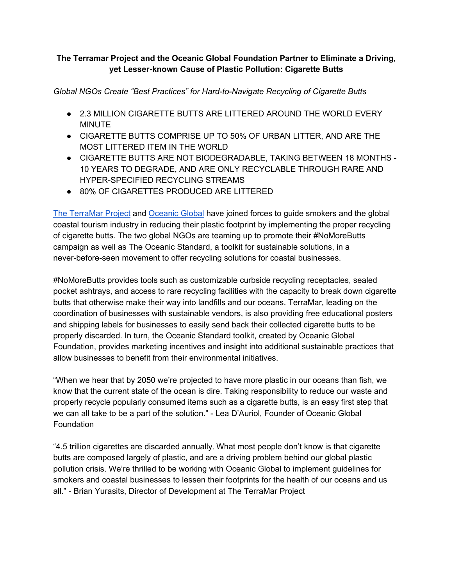## **The Terramar Project and the Oceanic Global Foundation Partner to Eliminate a Driving, yet Lesser-known Cause of Plastic Pollution: Cigarette Butts**

*Global NGOs Create "Best Practices" for Hard-to-Navigate Recycling of Cigarette Butts*

- 2.3 MILLION CIGARETTE BUTTS ARE LITTERED AROUND THE WORLD EVERY **MINUTE**
- CIGARETTE BUTTS COMPRISE UP TO 50% OF URBAN LITTER, AND ARE THE MOST LITTERED ITEM IN THE WORLD
- CIGARETTE BUTTS ARE NOT BIODEGRADABLE, TAKING BETWEEN 18 MONTHS 10 YEARS TO DEGRADE, AND ARE ONLY RECYCLABLE THROUGH RARE AND HYPER-SPECIFIED RECYCLING STREAMS
- 80% OF CIGARETTES PRODUCED ARE LITTERED

The [TerraMar](http://theterramarproject.org/) Project and [Oceanic](http://oceanic.global/) Global have joined forces to guide smokers and the global coastal tourism industry in reducing their plastic footprint by implementing the proper recycling of cigarette butts. The two global NGOs are teaming up to promote their #NoMoreButts campaign as well as The Oceanic Standard, a toolkit for sustainable solutions, in a never-before-seen movement to offer recycling solutions for coastal businesses.

#NoMoreButts provides tools such as customizable curbside recycling receptacles, sealed pocket ashtrays, and access to rare recycling facilities with the capacity to break down cigarette butts that otherwise make their way into landfills and our oceans. TerraMar, leading on the coordination of businesses with sustainable vendors, is also providing free educational posters and shipping labels for businesses to easily send back their collected cigarette butts to be properly discarded. In turn, the Oceanic Standard toolkit, created by Oceanic Global Foundation, provides marketing incentives and insight into additional sustainable practices that allow businesses to benefit from their environmental initiatives.

"When we hear that by 2050 we're projected to have more plastic in our oceans than fish, we know that the current state of the ocean is dire. Taking responsibility to reduce our waste and properly recycle popularly consumed items such as a cigarette butts, is an easy first step that we can all take to be a part of the solution." - Lea D'Auriol, Founder of Oceanic Global Foundation

"4.5 trillion cigarettes are discarded annually. What most people don't know is that cigarette butts are composed largely of plastic, and are a driving problem behind our global plastic pollution crisis. We're thrilled to be working with Oceanic Global to implement guidelines for smokers and coastal businesses to lessen their footprints for the health of our oceans and us all." - Brian Yurasits, Director of Development at The TerraMar Project